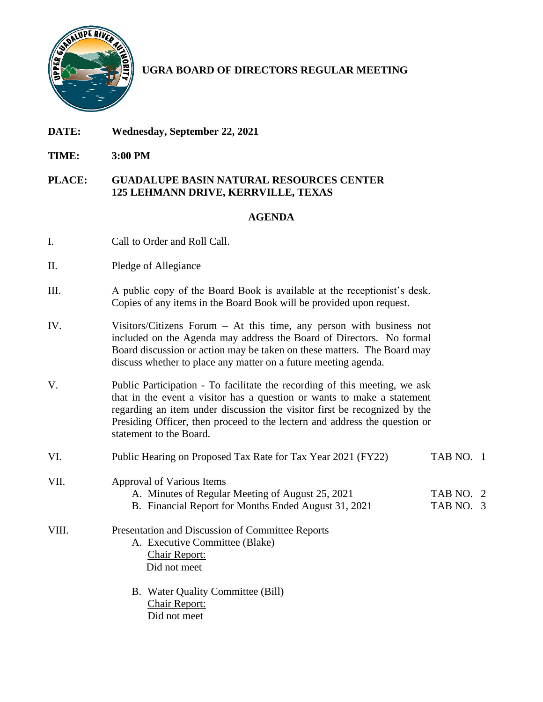

## **UGRA BOARD OF DIRECTORS REGULAR MEETING**

- **DATE: Wednesday, September 22, 2021**
- **TIME: 3:00 PM**

## **PLACE: GUADALUPE BASIN NATURAL RESOURCES CENTER 125 LEHMANN DRIVE, KERRVILLE, TEXAS**

## **AGENDA**

- I. Call to Order and Roll Call.
- II. Pledge of Allegiance
- III. A public copy of the Board Book is available at the receptionist's desk. Copies of any items in the Board Book will be provided upon request.
- IV. Visitors/Citizens Forum At this time, any person with business not included on the Agenda may address the Board of Directors. No formal Board discussion or action may be taken on these matters. The Board may discuss whether to place any matter on a future meeting agenda.
- V. Public Participation To facilitate the recording of this meeting, we ask that in the event a visitor has a question or wants to make a statement regarding an item under discussion the visitor first be recognized by the Presiding Officer, then proceed to the lectern and address the question or statement to the Board.
- VI. Public Hearing on Proposed Tax Rate for Tax Year 2021 (FY22) TAB NO. 1 VII. Approval of Various Items A. Minutes of Regular Meeting of August 25, 2021 TAB NO. 2 B. Financial Report for Months Ended August 31, 2021 TAB NO. 3 VIII. Presentation and Discussion of Committee Reports A. Executive Committee (Blake) Chair Report: Did not meet B. Water Quality Committee (Bill) Chair Report:
	- Did not meet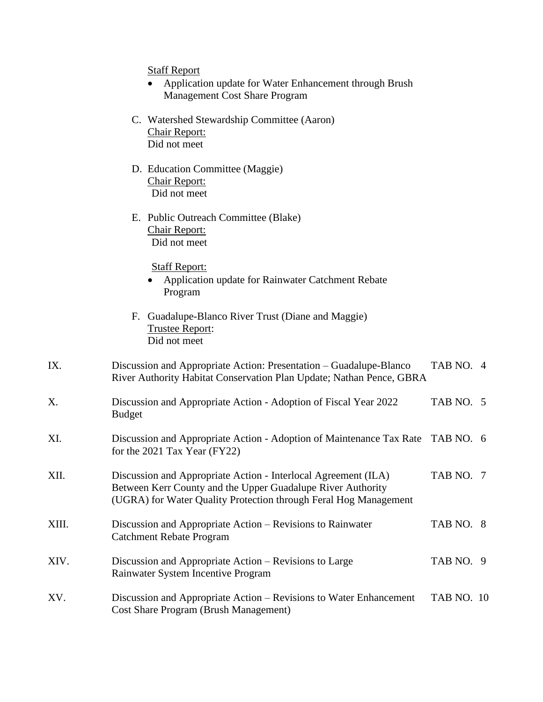Staff Report

- Application update for Water Enhancement through Brush Management Cost Share Program
- C. Watershed Stewardship Committee (Aaron) Chair Report: Did not meet
- D. Education Committee (Maggie) Chair Report: Did not meet
- E. Public Outreach Committee (Blake) Chair Report: Did not meet

Staff Report:

- Application update for Rainwater Catchment Rebate Program
- F. Guadalupe-Blanco River Trust (Diane and Maggie) Trustee Report: Did not meet
- IX. Discussion and Appropriate Action: Presentation Guadalupe-Blanco TAB NO. 4 River Authority Habitat Conservation Plan Update; Nathan Pence, GBRA X. Discussion and Appropriate Action - Adoption of Fiscal Year 2022 TAB NO. 5 Budget XI. Discussion and Appropriate Action - Adoption of Maintenance Tax Rate TAB NO. 6 for the 2021 Tax Year (FY22) XII. Discussion and Appropriate Action - Interlocal Agreement (ILA) TAB NO. 7 Between Kerr County and the Upper Guadalupe River Authority (UGRA) for Water Quality Protection through Feral Hog Management XIII. Discussion and Appropriate Action – Revisions to Rainwater TAB NO. 8 Catchment Rebate Program XIV. Discussion and Appropriate Action – Revisions to Large TAB NO. 9 Rainwater System Incentive Program XV. Discussion and Appropriate Action – Revisions to Water Enhancement TAB NO. 10 Cost Share Program (Brush Management)